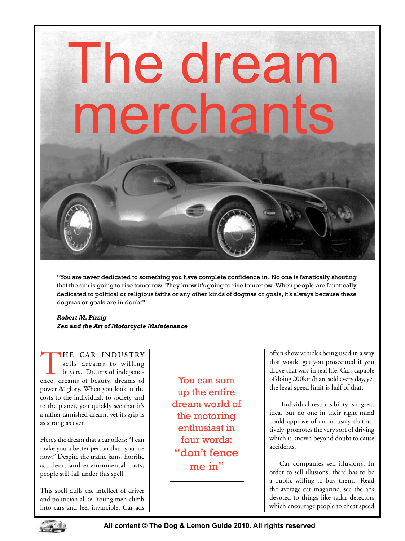## The dream merchants

"You are never dedicated to something you have complete confidence in. No one is fanatically shouting that the sun is going to rise tomorrow. They know it's going to rise tomorrow. When people are fanatically dedicated to political or religious faiths or any other kinds of dogmas or goals, it's always because these dogmas or goals are in doubt"

*Robert M. Pirsig Zen and the Art of Motorcycle Maintenance*

**HE CAR INDUSTRY** sells dreams to willing buyers. Dreams of independence, dreams of beauty, dreams of power & glory. When you look at the costs to the individual, to society and to the planet, you quickly see that it's a rather tarnished dream, yet its grip is as strong as ever.

Here's the dream that a car offers: "I can make you a better person than you are now." Despite the traffic jams, horrific accidents and environmental costs, people still fall under this spell.

This spell dulls the intellect of driver and politician alike. Young men climb into cars and feel invincible. Car ads

You can sum up the entire dream world of the motoring enthusiast in four words: "don't fence me in"

often show vehicles being used in a way that would get you prosecuted if you drove that way in real life. Cars capable of doing 200km/h are sold every day, yet the legal speed limit is half of that.

 Individual responsibility is a great idea, but no one in their right mind could approve of an industry that actively promotes the very sort of driving which is known beyond doubt to cause accidents.

Car companies sell illusions. In order to sell illusions, there has to be a public willing to buy them. Read the average car magazine, see the ads devoted to things like radar detectors which encourage people to cheat speed

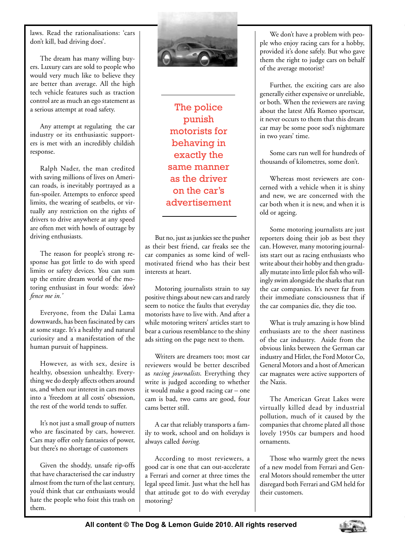laws. Read the rationalisations: 'cars don't kill, bad driving does'.

The dream has many willing buyers. Luxury cars are sold to people who would very much like to believe they are better than average. All the high tech vehicle features such as traction control are as much an ego statement as a serious attempt at road safety.

Any attempt at regulating the car industry or its enthusiastic supporters is met with an incredibly childish response.

Ralph Nader, the man credited with saving millions of lives on American roads, is inevitably portrayed as a fun-spoiler. Attempts to enforce speed limits, the wearing of seatbelts, or virtually any restriction on the rights of drivers to drive anywhere at any speed are often met with howls of outrage by driving enthusiasts.

The reason for people's strong response has got little to do with speed limits or safety devices. You can sum up the entire dream world of the motoring enthusiast in four words: *'don't fence me in.'*

Everyone, from the Dalai Lama downwards, has been fascinated by cars at some stage. It's a healthy and natural curiosity and a manifestation of the human pursuit of happiness.

However, as with sex, desire is healthy, obsession unhealthy. Everything we do deeply affects others around us, and when our interest in cars moves into a 'freedom at all costs' obsession, the rest of the world tends to suffer.

It's not just a small group of nutters who are fascinated by cars, however. Cars may offer only fantasies of power, but there's no shortage of customers

Given the shoddy, unsafe rip-offs that have characterised the car industry almost from the turn of the last century, you'd think that car enthusiasts would hate the people who foist this trash on them.



The police punish motorists for behaving in exactly the same manner as the driver on the car's advertisement

But no, just as junkies see the pusher as their best friend, car freaks see the car companies as some kind of wellmotivated friend who has their best interests at heart.

Motoring journalists strain to say positive things about new cars and rarely seem to notice the faults that everyday motorists have to live with. And after a while motoring writers' articles start to bear a curious resemblance to the shiny ads sitting on the page next to them.

Writers are dreamers too; most car reviewers would be better described as *racing journalists*. Everything they write is judged according to whether it would make a good racing car – one cam is bad, two cams are good, four cams better still.

A car that reliably transports a family to work, school and on holidays is always called *boring*.

According to most reviewers, a good car is one that can out-accelerate a Ferrari and corner at three times the legal speed limit. Just what the hell has that attitude got to do with everyday motoring?

We don't have a problem with people who enjoy racing cars for a hobby, provided it's done safely. But who gave them the right to judge cars on behalf of the average motorist?

Further, the exciting cars are also generally either expensive or unreliable, or both. When the reviewers are raving about the latest Alfa Romeo sportscar, it never occurs to them that this dream car may be some poor sod's nightmare in two years' time.

Some cars run well for hundreds of thousands of kilometres, some don't.

Whereas most reviewers are concerned with a vehicle when it is shiny and new, we are concerned with the car both when it is new, and when it is old or ageing.

Some motoring journalists are just reporters doing their job as best they can. However, many motoring journalists start out as racing enthusiasts who write about their hobby and then gradually mutate into little pilot fish who willingly swim alongside the sharks that run the car companies. It's never far from their immediate consciousness that if the car companies die, they die too.

What is truly amazing is how blind enthusiasts are to the sheer nastiness of the car industry. Aside from the obvious links between the German car industry and Hitler, the Ford Motor Co, General Motors and a host of American car magnates were active supporters of the Nazis.

The American Great Lakes were virtually killed dead by industrial pollution, much of it caused by the companies that chrome plated all those lovely 1950s car bumpers and hood ornaments.

Those who warmly greet the news of a new model from Ferrari and General Motors should remember the utter disregard both Ferrari and GM held for their customers.

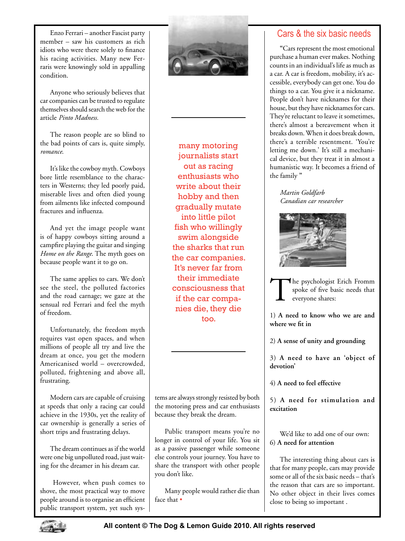Enzo Ferrari – another Fascist party member – saw his customers as rich idiots who were there solely to finance his racing activities. Many new Ferraris were knowingly sold in appalling condition.

Anyone who seriously believes that car companies can be trusted to regulate themselves should search the web for the article *Pinto Madness.*

The reason people are so blind to the bad points of cars is, quite simply, *romance*.

It's like the cowboy myth. Cowboys bore little resemblance to the characters in Westerns; they led poorly paid, miserable lives and often died young from ailments like infected compound fractures and influenza.

And yet the image people want is of happy cowboys sitting around a campfire playing the guitar and singing *Home on the Range*. The myth goes on because people want it to go on.

The same applies to cars. We don't see the steel, the polluted factories and the road carnage; we gaze at the sensual red Ferrari and feel the myth of freedom.

Unfortunately, the freedom myth requires vast open spaces, and when millions of people all try and live the dream at once, you get the modern Americanised world – overcrowded, polluted, frightening and above all, frustrating.

Modern cars are capable of cruising at speeds that only a racing car could achieve in the 1930s, yet the reality of car ownership is generally a series of short trips and frustrating delays.

The dream continues as if the world were one big unpolluted road, just waiting for the dreamer in his dream car.

 However, when push comes to shove, the most practical way to move people around is to organise an efficient public transport system, yet such sys-



many motoring journalists start out as racing enthusiasts who write about their hobby and then gradually mutate into little pilot fish who willingly swim alongside the sharks that run the car companies. It's never far from their immediate consciousness that if the car companies die, they die too.

tems are always strongly resisted by both the motoring press and car enthusiasts because they break the dream.

Public transport means you're no longer in control of your life. You sit as a passive passenger while someone else controls your journey. You have to share the transport with other people you don't like.

Many people would rather die than face that •

## Cars & the six basic needs

**"**Cars represent the most emotional purchase a human ever makes. Nothing counts in an individual's life as much as a car. A car is freedom, mobility, it's accessible, everybody can get one. You do things to a car. You give it a nickname. People don't have nicknames for their house, but they have nicknames for cars. They're reluctant to leave it sometimes, there's almost a bereavement when it breaks down. When it does break down, there's a terrible resentment. 'You're letting me down.' It's still a mechanical device, but they treat it in almost a humanistic way. It becomes a friend of the family **"**

*Martin Goldfarb Canadian car researcher*



The psychologist Erich Fromm spoke of five basic needs that everyone shares:

1) **A need to know who we are and where we fit in**

2) **A sense of unity and grounding**

3) **A need to have an 'object of devotion'**

4) **A need to feel effective**

5) **A need for stimulation and excitation**

We'd like to add one of our own: 6) **A need for attention**

The interesting thing about cars is that for many people, cars may provide some or all of the six basic needs – that's the reason that cars are so important. No other object in their lives comes close to being so important .

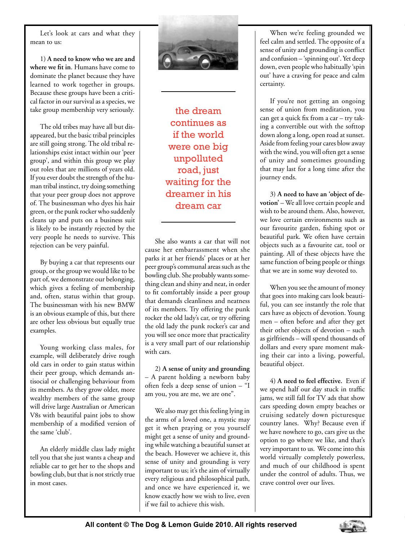Let's look at cars and what they mean to us:

1) **A need to know who we are and where we fit in**. Humans have come to dominate the planet because they have learned to work together in groups. Because these groups have been a critical factor in our survival as a species, we take group membership very seriously.

The old tribes may have all but disappeared, but the basic tribal principles are still going strong. The old tribal relationships exist intact within our 'peer group', and within this group we play out roles that are millions of years old. If you ever doubt the strength of the human tribal instinct, try doing something that your peer group does not approve of. The businessman who dyes his hair green, or the punk rocker who suddenly cleans up and puts on a business suit is likely to be instantly rejected by the very people he needs to survive. This rejection can be very painful.

By buying a car that represents our group, or the group we would like to be part of, we demonstrate our belonging, which gives a feeling of membership and, often, status within that group. The businessman with his new BMW is an obvious example of this, but there are other less obvious but equally true examples.

Young working class males, for example, will deliberately drive rough old cars in order to gain status within their peer group, which demands antisocial or challenging behaviour from its members. As they grow older, more wealthy members of the same group will drive large Australian or American V8s with beautiful paint jobs to show membership of a modified version of the same 'club'.

An elderly middle class lady might tell you that she just wants a cheap and reliable car to get her to the shops and bowling club, but that is not strictly true in most cases.



the dream continues as if the world were one big unpolluted road, just waiting for the dreamer in his dream car

She also wants a car that will not cause her embarrassment when she parks it at her friends' places or at her peer group's communal areas such as the bowling club. She probably wants something clean and shiny and neat, in order to fit comfortably inside a peer group that demands cleanliness and neatness of its members. Try offering the punk rocker the old lady's car, or try offering the old lady the punk rocker's car and you will see once more that practicality is a very small part of our relationship with cars.

2) **A sense of unity and grounding** – A parent holding a newborn baby often feels a deep sense of union – "I am you, you are me, we are one".

We also may get this feeling lying in the arms of a loved one, a mystic may get it when praying or you yourself might get a sense of unity and grounding while watching a beautiful sunset at the beach. However we achieve it, this sense of unity and grounding is very important to us; it's the aim of virtually every religious and philosophical path, and once we have experienced it, we know exactly how we wish to live, even if we fail to achieve this wish.

When we're feeling grounded we feel calm and settled. The opposite of a sense of unity and grounding is conflict and confusion – 'spinning out'. Yet deep down, even people who habitually 'spin out' have a craving for peace and calm certainty.

If you're not getting an ongoing sense of union from meditation, you can get a quick fix from a car – try taking a convertible out with the softtop down along a long, open road at sunset. Aside from feeling your cares blow away with the wind, you will often get a sense of unity and sometimes grounding that may last for a long time after the journey ends.

3) **A need to have an 'object of de**votion' – We all love certain people and wish to be around them. Also, however, we love certain environments such as our favourite garden, fishing spot or beautiful park. We often have certain objects such as a favourite cat, tool or painting. All of these objects have the same function of being people or things that we are in some way devoted to.

When you see the amount of money that goes into making cars look beautiful, you can see instantly the role that cars have as objects of devotion. Young men – often before and after they get their other objects of devotion – such as girlfriends – will spend thousands of dollars and every spare moment making their car into a living, powerful, beautiful object.

4) **A need to feel effective.** Even if we spend half our day stuck in traffic jams, we still fall for TV ads that show cars speeding down empty beaches or cruising sedately down picturesque country lanes. Why? Because even if we have nowhere to go, cars give us the option to go where we like, and that's very important to us. We come into this world virtually completely powerless, and much of our childhood is spent under the control of adults. Thus, we crave control over our lives.